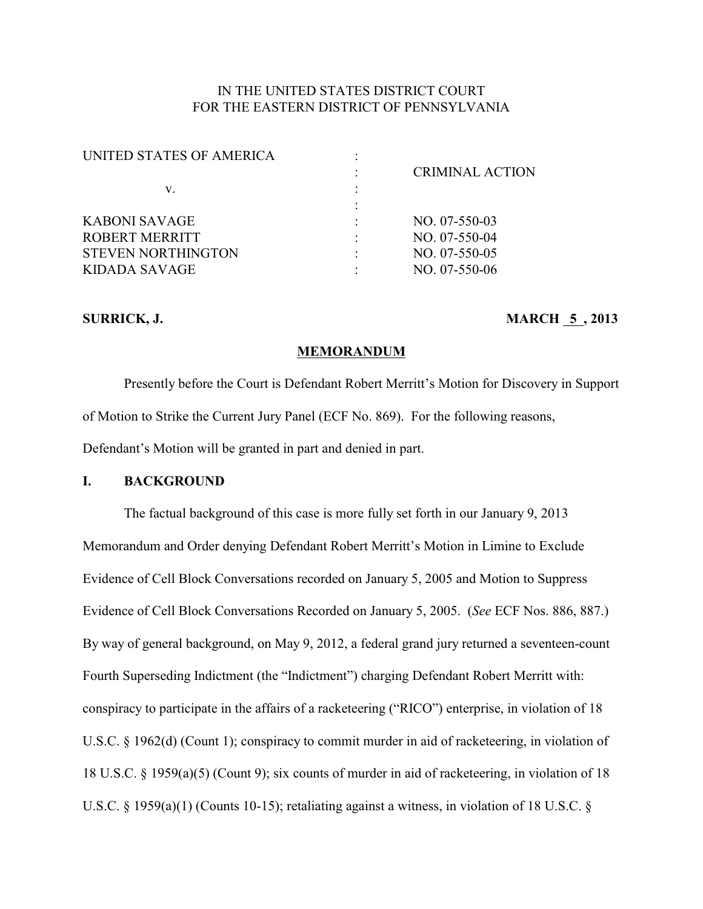# IN THE UNITED STATES DISTRICT COURT FOR THE EASTERN DISTRICT OF PENNSYLVANIA

| UNITED STATES OF AMERICA  |                        |
|---------------------------|------------------------|
|                           | <b>CRIMINAL ACTION</b> |
| v.                        |                        |
|                           |                        |
| KABONI SAVAGE             | $NO. 07-550-03$        |
| ROBERT MERRITT            | $NO. 07-550-04$        |
| <b>STEVEN NORTHINGTON</b> | $NO. 07-550-05$        |
| KIDADA SAVAGE             | $NO. 07-550-06$        |
|                           |                        |

## **SURRICK, J. MARCH 5, 2013**

### **MEMORANDUM**

Presently before the Court is Defendant Robert Merritt's Motion for Discovery in Support of Motion to Strike the Current Jury Panel (ECF No. 869). For the following reasons, Defendant's Motion will be granted in part and denied in part.

# **I. BACKGROUND**

The factual background of this case is more fully set forth in our January 9, 2013 Memorandum and Order denying Defendant Robert Merritt's Motion in Limine to Exclude Evidence of Cell Block Conversations recorded on January 5, 2005 and Motion to Suppress Evidence of Cell Block Conversations Recorded on January 5, 2005. (*See* ECF Nos. 886, 887.) By way of general background, on May 9, 2012, a federal grand jury returned a seventeen-count Fourth Superseding Indictment (the "Indictment") charging Defendant Robert Merritt with: conspiracy to participate in the affairs of a racketeering ("RICO") enterprise, in violation of 18 U.S.C. § 1962(d) (Count 1); conspiracy to commit murder in aid of racketeering, in violation of 18 U.S.C. § 1959(a)(5) (Count 9); six counts of murder in aid of racketeering, in violation of 18 U.S.C. § 1959(a)(1) (Counts 10-15); retaliating against a witness, in violation of 18 U.S.C. §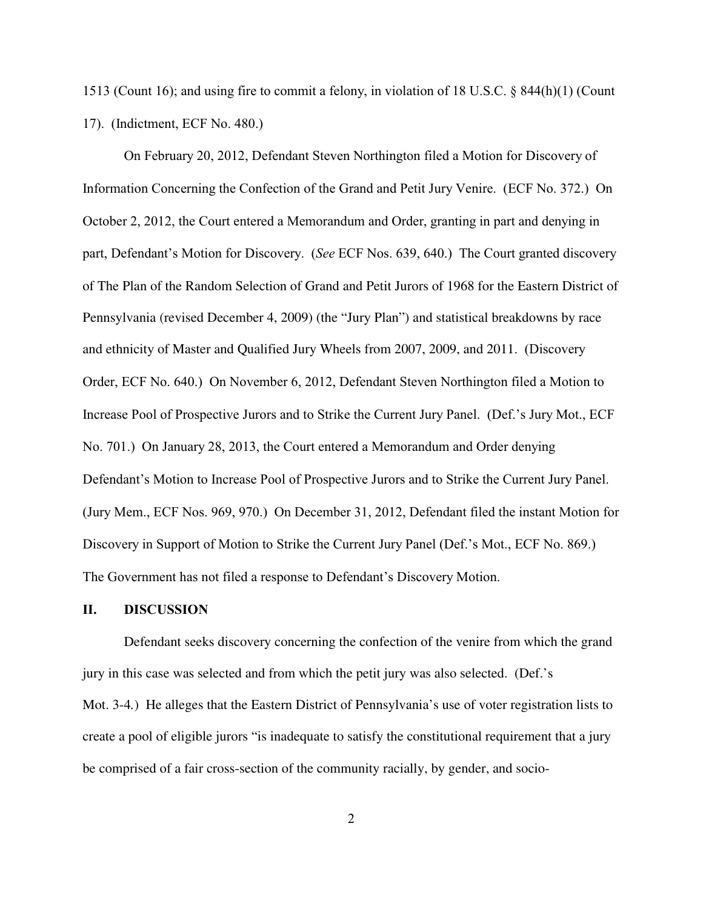1513 (Count 16); and using fire to commit a felony, in violation of 18 U.S.C. § 844(h)(1) (Count 17). (Indictment, ECF No. 480.)

On February 20, 2012, Defendant Steven Northington filed a Motion for Discovery of Information Concerning the Confection of the Grand and Petit Jury Venire. (ECF No. 372.) On October 2, 2012, the Court entered a Memorandum and Order, granting in part and denying in part, Defendant's Motion for Discovery. (*See* ECF Nos. 639, 640.) The Court granted discovery of The Plan of the Random Selection of Grand and Petit Jurors of 1968 for the Eastern District of Pennsylvania (revised December 4, 2009) (the "Jury Plan") and statistical breakdowns by race and ethnicity of Master and Qualified Jury Wheels from 2007, 2009, and 2011. (Discovery Order, ECF No. 640.) On November 6, 2012, Defendant Steven Northington filed a Motion to Increase Pool of Prospective Jurors and to Strike the Current Jury Panel. (Def.'s Jury Mot., ECF No. 701.) On January 28, 2013, the Court entered a Memorandum and Order denying Defendant's Motion to Increase Pool of Prospective Jurors and to Strike the Current Jury Panel. (Jury Mem., ECF Nos. 969, 970.) On December 31, 2012, Defendant filed the instant Motion for Discovery in Support of Motion to Strike the Current Jury Panel (Def.'s Mot., ECF No. 869.) The Government has not filed a response to Defendant's Discovery Motion.

## **II. DISCUSSION**

Defendant seeks discovery concerning the confection of the venire from which the grand jury in this case was selected and from which the petit jury was also selected. (Def.'s Mot. 3-4*.*) He alleges that the Eastern District of Pennsylvania's use of voter registration lists to create a pool of eligible jurors "is inadequate to satisfy the constitutional requirement that a jury be comprised of a fair cross-section of the community racially, by gender, and socio-

2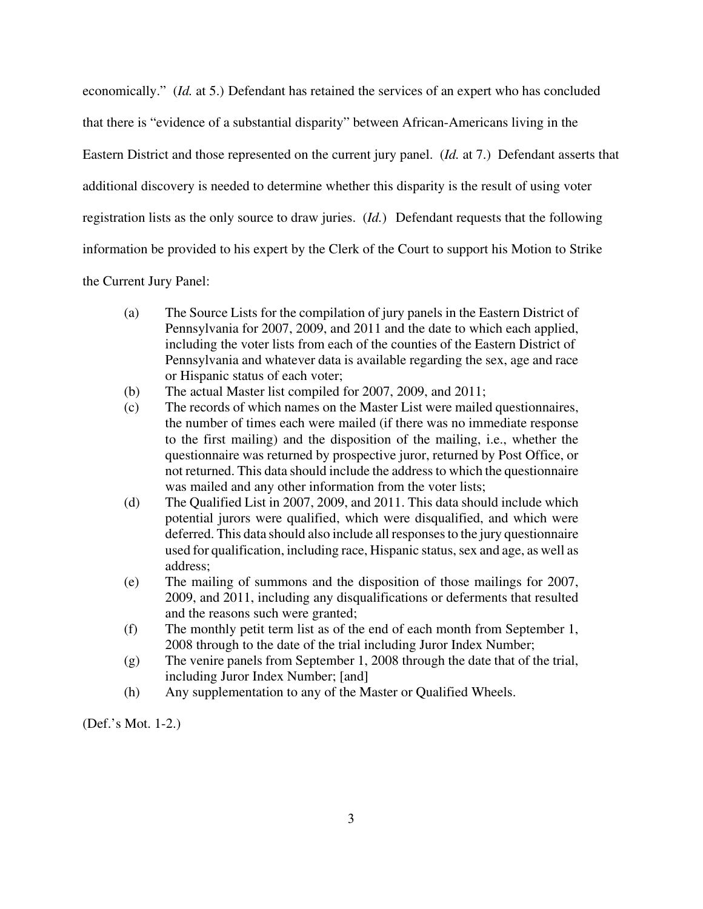economically." (*Id.* at 5.) Defendant has retained the services of an expert who has concluded that there is "evidence of a substantial disparity" between African-Americans living in the Eastern District and those represented on the current jury panel. (*Id.* at 7.) Defendant asserts that additional discovery is needed to determine whether this disparity is the result of using voter registration lists as the only source to draw juries. (*Id.*) Defendant requests that the following information be provided to his expert by the Clerk of the Court to support his Motion to Strike

the Current Jury Panel:

- (a) The Source Lists for the compilation of jury panels in the Eastern District of Pennsylvania for 2007, 2009, and 2011 and the date to which each applied, including the voter lists from each of the counties of the Eastern District of Pennsylvania and whatever data is available regarding the sex, age and race or Hispanic status of each voter;
- (b) The actual Master list compiled for 2007, 2009, and 2011;
- (c) The records of which names on the Master List were mailed questionnaires, the number of times each were mailed (if there was no immediate response to the first mailing) and the disposition of the mailing, i.e., whether the questionnaire was returned by prospective juror, returned by Post Office, or not returned. This data should include the address to which the questionnaire was mailed and any other information from the voter lists;
- (d) The Qualified List in 2007, 2009, and 2011. This data should include which potential jurors were qualified, which were disqualified, and which were deferred. This data should also include all responses to the jury questionnaire used for qualification, including race, Hispanic status, sex and age, as well as address;
- (e) The mailing of summons and the disposition of those mailings for 2007, 2009, and 2011, including any disqualifications or deferments that resulted and the reasons such were granted;
- (f) The monthly petit term list as of the end of each month from September 1, 2008 through to the date of the trial including Juror Index Number;
- (g) The venire panels from September 1, 2008 through the date that of the trial, including Juror Index Number; [and]
- (h) Any supplementation to any of the Master or Qualified Wheels.

(Def.'s Mot. 1-2.)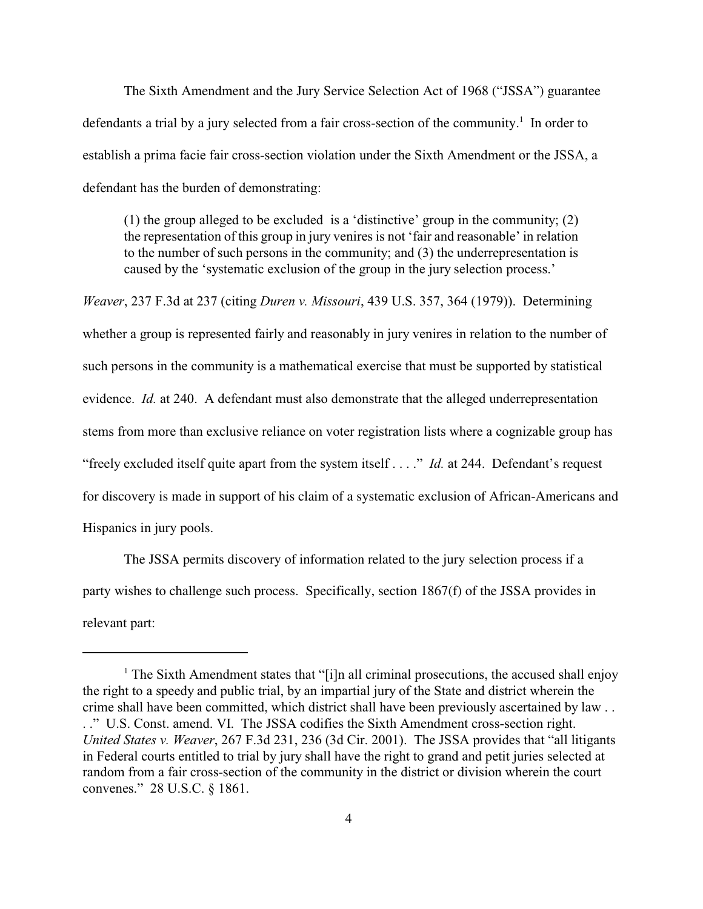The Sixth Amendment and the Jury Service Selection Act of 1968 ("JSSA") guarantee defendants a trial by a jury selected from a fair cross-section of the community.<sup>1</sup> In order to establish a prima facie fair cross-section violation under the Sixth Amendment or the JSSA, a defendant has the burden of demonstrating:

(1) the group alleged to be excluded is a 'distinctive' group in the community; (2) the representation of this group in jury venires is not 'fair and reasonable' in relation to the number of such persons in the community; and (3) the underrepresentation is caused by the 'systematic exclusion of the group in the jury selection process.'

*Weaver*, 237 F.3d at 237 (citing *Duren v. Missouri*, 439 U.S. 357, 364 (1979)). Determining whether a group is represented fairly and reasonably in jury venires in relation to the number of such persons in the community is a mathematical exercise that must be supported by statistical evidence. *Id.* at 240. A defendant must also demonstrate that the alleged underrepresentation stems from more than exclusive reliance on voter registration lists where a cognizable group has "freely excluded itself quite apart from the system itself . . . ." *Id.* at 244. Defendant's request for discovery is made in support of his claim of a systematic exclusion of African-Americans and Hispanics in jury pools.

The JSSA permits discovery of information related to the jury selection process if a party wishes to challenge such process. Specifically, section 1867(f) of the JSSA provides in relevant part:

<sup>&</sup>lt;sup>1</sup> The Sixth Amendment states that "[i]n all criminal prosecutions, the accused shall enjoy the right to a speedy and public trial, by an impartial jury of the State and district wherein the crime shall have been committed, which district shall have been previously ascertained by law . . . ." U.S. Const. amend. VI. The JSSA codifies the Sixth Amendment cross-section right. *United States v. Weaver*, 267 F.3d 231, 236 (3d Cir. 2001). The JSSA provides that "all litigants in Federal courts entitled to trial by jury shall have the right to grand and petit juries selected at random from a fair cross-section of the community in the district or division wherein the court convenes." 28 U.S.C. § 1861.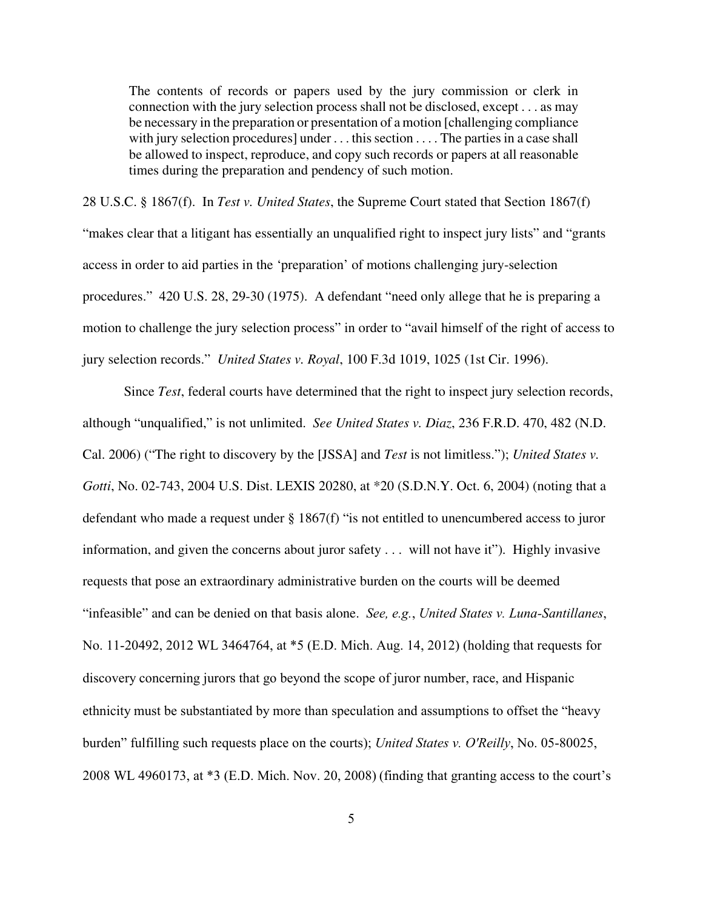The contents of records or papers used by the jury commission or clerk in connection with the jury selection process shall not be disclosed, except . . . as may be necessary in the preparation or presentation of a motion [challenging compliance with jury selection procedures] under . . . this section . . . . The parties in a case shall be allowed to inspect, reproduce, and copy such records or papers at all reasonable times during the preparation and pendency of such motion.

28 U.S.C. § 1867(f). In *Test v. United States*, the Supreme Court stated that Section 1867(f)

"makes clear that a litigant has essentially an unqualified right to inspect jury lists" and "grants access in order to aid parties in the 'preparation' of motions challenging jury-selection procedures." 420 U.S. 28, 29-30 (1975). A defendant "need only allege that he is preparing a motion to challenge the jury selection process" in order to "avail himself of the right of access to jury selection records." *United States v. Royal*, 100 F.3d 1019, 1025 (1st Cir. 1996).

Since *Test*, federal courts have determined that the right to inspect jury selection records, although "unqualified," is not unlimited. *See United States v. Diaz*, 236 F.R.D. 470, 482 (N.D. Cal. 2006) ("The right to discovery by the [JSSA] and *Test* is not limitless."); *United States v. Gotti*, No. 02-743, 2004 U.S. Dist. LEXIS 20280, at \*20 (S.D.N.Y. Oct. 6, 2004) (noting that a defendant who made a request under § 1867(f) "is not entitled to unencumbered access to juror information, and given the concerns about juror safety . . . will not have it"). Highly invasive requests that pose an extraordinary administrative burden on the courts will be deemed "infeasible" and can be denied on that basis alone. *See, e.g.*, *United States v. Luna-Santillanes*, No. 11-20492, 2012 WL 3464764, at \*5 (E.D. Mich. Aug. 14, 2012) (holding that requests for discovery concerning jurors that go beyond the scope of juror number, race, and Hispanic ethnicity must be substantiated by more than speculation and assumptions to offset the "heavy burden" fulfilling such requests place on the courts); *United States v. O'Reilly*, No. 05-80025, 2008 WL 4960173, at \*3 (E.D. Mich. Nov. 20, 2008) (finding that granting access to the court's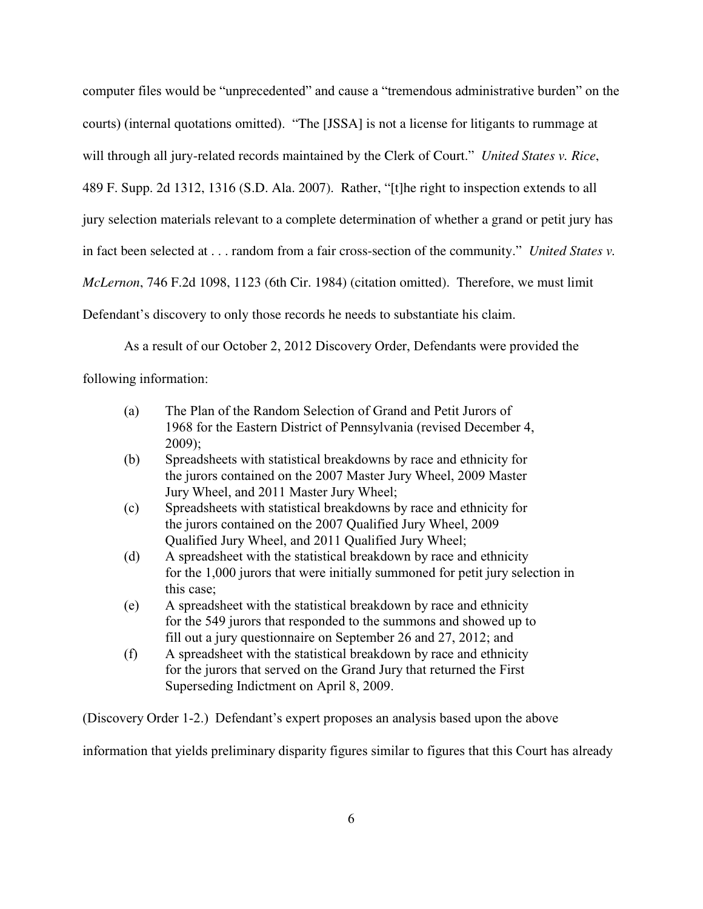computer files would be "unprecedented" and cause a "tremendous administrative burden" on the courts) (internal quotations omitted). "The [JSSA] is not a license for litigants to rummage at will through all jury-related records maintained by the Clerk of Court." *United States v. Rice*, 489 F. Supp. 2d 1312, 1316 (S.D. Ala. 2007). Rather, "[t]he right to inspection extends to all jury selection materials relevant to a complete determination of whether a grand or petit jury has in fact been selected at . . . random from a fair cross-section of the community." *United States v. McLernon*, 746 F.2d 1098, 1123 (6th Cir. 1984) (citation omitted). Therefore, we must limit Defendant's discovery to only those records he needs to substantiate his claim.

As a result of our October 2, 2012 Discovery Order, Defendants were provided the following information:

- (a) The Plan of the Random Selection of Grand and Petit Jurors of 1968 for the Eastern District of Pennsylvania (revised December 4, 2009);
- (b) Spreadsheets with statistical breakdowns by race and ethnicity for the jurors contained on the 2007 Master Jury Wheel, 2009 Master Jury Wheel, and 2011 Master Jury Wheel;
- (c) Spreadsheets with statistical breakdowns by race and ethnicity for the jurors contained on the 2007 Qualified Jury Wheel, 2009 Qualified Jury Wheel, and 2011 Qualified Jury Wheel;
- (d) A spreadsheet with the statistical breakdown by race and ethnicity for the 1,000 jurors that were initially summoned for petit jury selection in this case;
- (e) A spreadsheet with the statistical breakdown by race and ethnicity for the 549 jurors that responded to the summons and showed up to fill out a jury questionnaire on September 26 and 27, 2012; and
- (f) A spreadsheet with the statistical breakdown by race and ethnicity for the jurors that served on the Grand Jury that returned the First Superseding Indictment on April 8, 2009.

(Discovery Order 1-2.) Defendant's expert proposes an analysis based upon the above

information that yields preliminary disparity figures similar to figures that this Court has already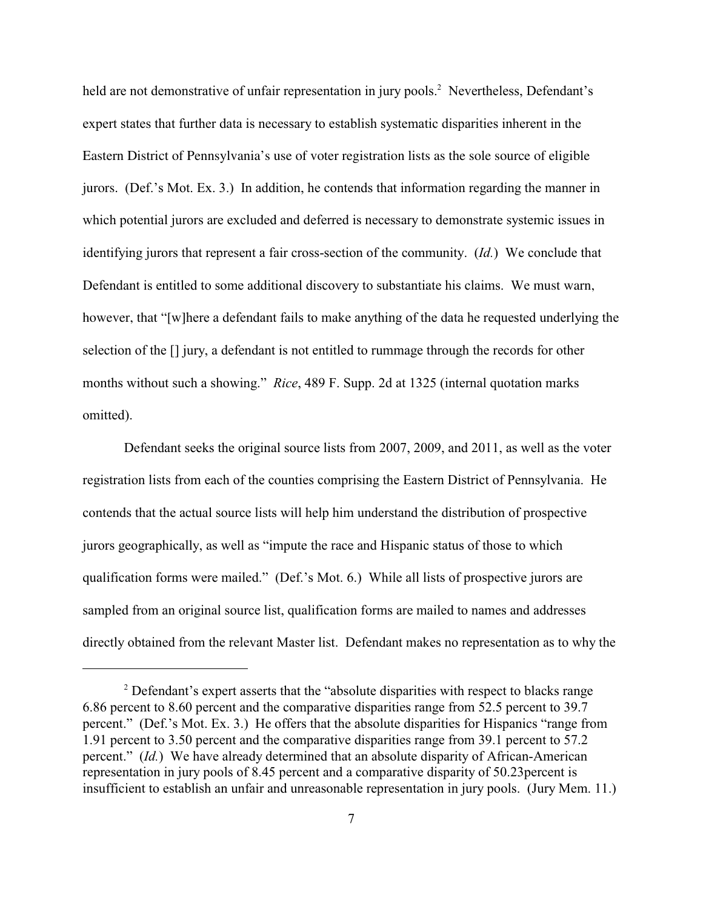held are not demonstrative of unfair representation in jury pools.<sup>2</sup> Nevertheless, Defendant's expert states that further data is necessary to establish systematic disparities inherent in the Eastern District of Pennsylvania's use of voter registration lists as the sole source of eligible jurors. (Def.'s Mot. Ex. 3.) In addition, he contends that information regarding the manner in which potential jurors are excluded and deferred is necessary to demonstrate systemic issues in identifying jurors that represent a fair cross-section of the community. (*Id.*) We conclude that Defendant is entitled to some additional discovery to substantiate his claims. We must warn, however, that "[w]here a defendant fails to make anything of the data he requested underlying the selection of the [] jury, a defendant is not entitled to rummage through the records for other months without such a showing." *Rice*, 489 F. Supp. 2d at 1325 (internal quotation marks omitted).

Defendant seeks the original source lists from 2007, 2009, and 2011, as well as the voter registration lists from each of the counties comprising the Eastern District of Pennsylvania. He contends that the actual source lists will help him understand the distribution of prospective jurors geographically, as well as "impute the race and Hispanic status of those to which qualification forms were mailed." (Def.'s Mot. 6.) While all lists of prospective jurors are sampled from an original source list, qualification forms are mailed to names and addresses directly obtained from the relevant Master list. Defendant makes no representation as to why the

 $2$  Defendant's expert asserts that the "absolute disparities with respect to blacks range 6.86 percent to 8.60 percent and the comparative disparities range from 52.5 percent to 39.7 percent." (Def.'s Mot. Ex. 3.) He offers that the absolute disparities for Hispanics "range from 1.91 percent to 3.50 percent and the comparative disparities range from 39.1 percent to 57.2 percent." (*Id.*) We have already determined that an absolute disparity of African-American representation in jury pools of 8.45 percent and a comparative disparity of 50.23percent is insufficient to establish an unfair and unreasonable representation in jury pools. (Jury Mem. 11.)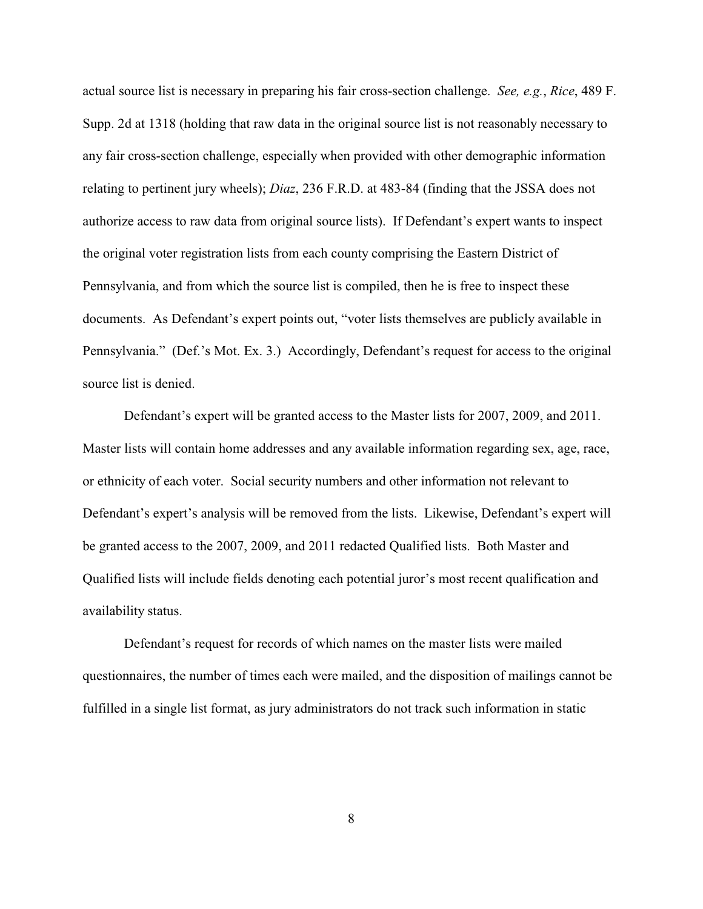actual source list is necessary in preparing his fair cross-section challenge. *See, e.g.*, *Rice*, 489 F. Supp. 2d at 1318 (holding that raw data in the original source list is not reasonably necessary to any fair cross-section challenge, especially when provided with other demographic information relating to pertinent jury wheels); *Diaz*, 236 F.R.D. at 483-84 (finding that the JSSA does not authorize access to raw data from original source lists). If Defendant's expert wants to inspect the original voter registration lists from each county comprising the Eastern District of Pennsylvania, and from which the source list is compiled, then he is free to inspect these documents. As Defendant's expert points out, "voter lists themselves are publicly available in Pennsylvania." (Def.'s Mot. Ex. 3.) Accordingly, Defendant's request for access to the original source list is denied.

Defendant's expert will be granted access to the Master lists for 2007, 2009, and 2011. Master lists will contain home addresses and any available information regarding sex, age, race, or ethnicity of each voter. Social security numbers and other information not relevant to Defendant's expert's analysis will be removed from the lists. Likewise, Defendant's expert will be granted access to the 2007, 2009, and 2011 redacted Qualified lists. Both Master and Qualified lists will include fields denoting each potential juror's most recent qualification and availability status.

Defendant's request for records of which names on the master lists were mailed questionnaires, the number of times each were mailed, and the disposition of mailings cannot be fulfilled in a single list format, as jury administrators do not track such information in static

8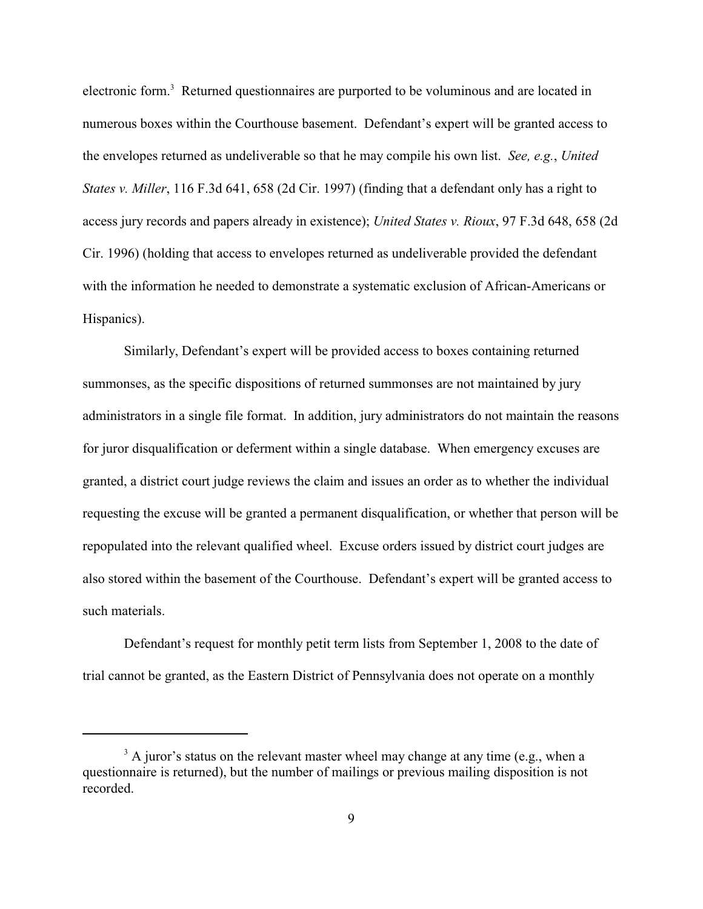electronic form.<sup>3</sup> Returned questionnaires are purported to be voluminous and are located in numerous boxes within the Courthouse basement. Defendant's expert will be granted access to the envelopes returned as undeliverable so that he may compile his own list. *See, e.g.*, *United States v. Miller*, 116 F.3d 641, 658 (2d Cir. 1997) (finding that a defendant only has a right to access jury records and papers already in existence); *United States v. Rioux*, 97 F.3d 648, 658 (2d Cir. 1996) (holding that access to envelopes returned as undeliverable provided the defendant with the information he needed to demonstrate a systematic exclusion of African-Americans or Hispanics).

Similarly, Defendant's expert will be provided access to boxes containing returned summonses, as the specific dispositions of returned summonses are not maintained by jury administrators in a single file format. In addition, jury administrators do not maintain the reasons for juror disqualification or deferment within a single database. When emergency excuses are granted, a district court judge reviews the claim and issues an order as to whether the individual requesting the excuse will be granted a permanent disqualification, or whether that person will be repopulated into the relevant qualified wheel. Excuse orders issued by district court judges are also stored within the basement of the Courthouse. Defendant's expert will be granted access to such materials.

Defendant's request for monthly petit term lists from September 1, 2008 to the date of trial cannot be granted, as the Eastern District of Pennsylvania does not operate on a monthly

 $3$  A juror's status on the relevant master wheel may change at any time (e.g., when a questionnaire is returned), but the number of mailings or previous mailing disposition is not recorded.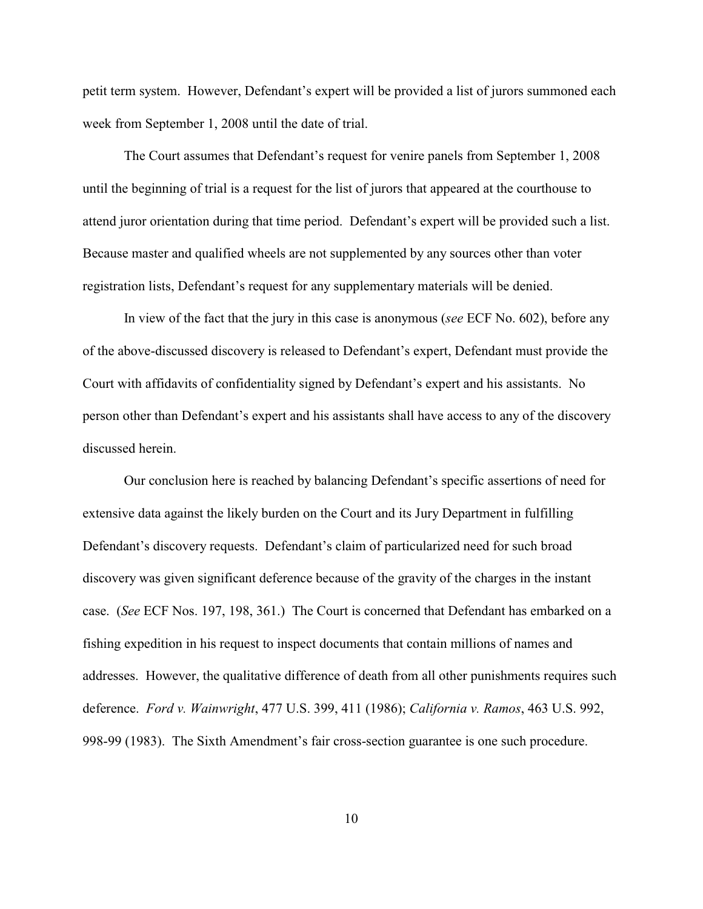petit term system. However, Defendant's expert will be provided a list of jurors summoned each week from September 1, 2008 until the date of trial.

The Court assumes that Defendant's request for venire panels from September 1, 2008 until the beginning of trial is a request for the list of jurors that appeared at the courthouse to attend juror orientation during that time period. Defendant's expert will be provided such a list. Because master and qualified wheels are not supplemented by any sources other than voter registration lists, Defendant's request for any supplementary materials will be denied.

In view of the fact that the jury in this case is anonymous (*see* ECF No. 602), before any of the above-discussed discovery is released to Defendant's expert, Defendant must provide the Court with affidavits of confidentiality signed by Defendant's expert and his assistants. No person other than Defendant's expert and his assistants shall have access to any of the discovery discussed herein.

Our conclusion here is reached by balancing Defendant's specific assertions of need for extensive data against the likely burden on the Court and its Jury Department in fulfilling Defendant's discovery requests. Defendant's claim of particularized need for such broad discovery was given significant deference because of the gravity of the charges in the instant case. (*See* ECF Nos. 197, 198, 361.) The Court is concerned that Defendant has embarked on a fishing expedition in his request to inspect documents that contain millions of names and addresses. However, the qualitative difference of death from all other punishments requires such deference. *Ford v. Wainwright*, 477 U.S. 399, 411 (1986); *California v. Ramos*, 463 U.S. 992, 998-99 (1983). The Sixth Amendment's fair cross-section guarantee is one such procedure.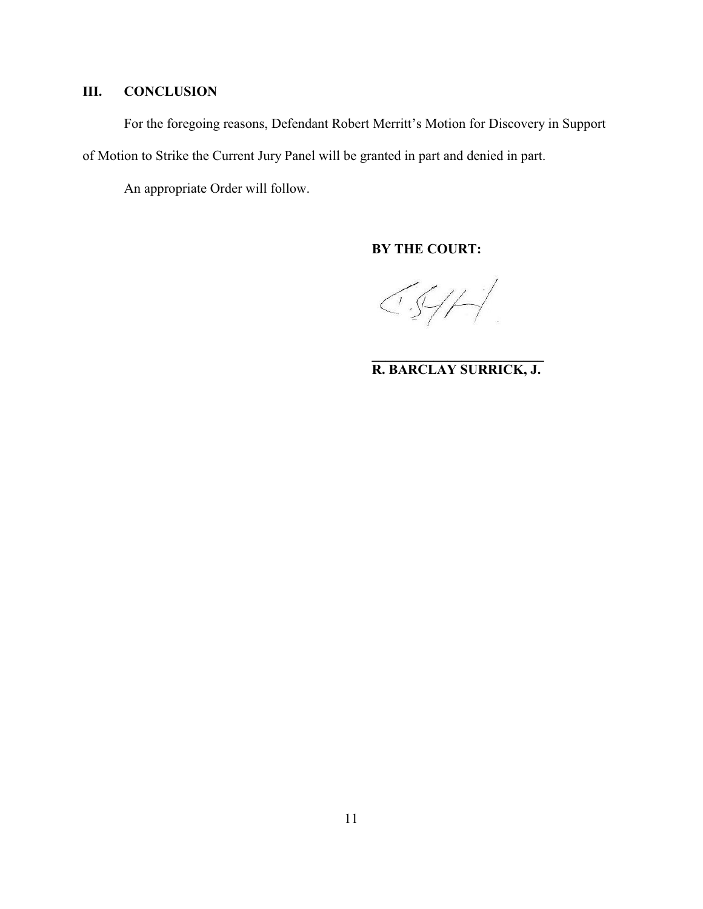# **III. CONCLUSION**

For the foregoing reasons, Defendant Robert Merritt's Motion for Discovery in Support of Motion to Strike the Current Jury Panel will be granted in part and denied in part.

An appropriate Order will follow.

**BY THE COURT:**

 $CS/H$ 

**\_\_\_\_\_\_\_\_\_\_\_\_\_\_\_\_\_\_\_\_\_\_\_\_\_ R. BARCLAY SURRICK, J.**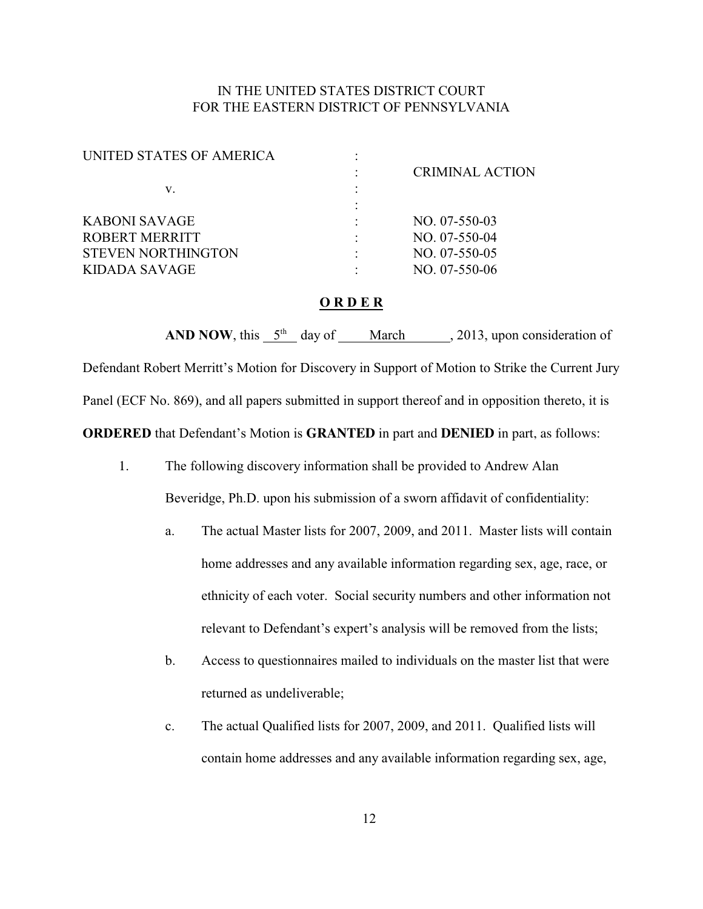# IN THE UNITED STATES DISTRICT COURT FOR THE EASTERN DISTRICT OF PENNSYLVANIA

| UNITED STATES OF AMERICA  |                        |
|---------------------------|------------------------|
|                           | <b>CRIMINAL ACTION</b> |
| V.                        |                        |
|                           |                        |
| KABONI SAVAGE             | $NO. 07-550-03$        |
| <b>ROBERT MERRITT</b>     | NO. 07-550-04          |
| <b>STEVEN NORTHINGTON</b> | NO. 07-550-05          |
| KIDADA SAVAGE             | $NO. 07-550-06$        |
|                           |                        |

## **O R D E R**

**AND NOW**, this  $5<sup>th</sup>$  day of March , 2013, upon consideration of Defendant Robert Merritt's Motion for Discovery in Support of Motion to Strike the Current Jury Panel (ECF No. 869), and all papers submitted in support thereof and in opposition thereto, it is **ORDERED** that Defendant's Motion is **GRANTED** in part and **DENIED** in part, as follows:

- 1. The following discovery information shall be provided to Andrew Alan Beveridge, Ph.D. upon his submission of a sworn affidavit of confidentiality:
	- a. The actual Master lists for 2007, 2009, and 2011. Master lists will contain home addresses and any available information regarding sex, age, race, or ethnicity of each voter. Social security numbers and other information not relevant to Defendant's expert's analysis will be removed from the lists;
	- b. Access to questionnaires mailed to individuals on the master list that were returned as undeliverable;
	- c. The actual Qualified lists for 2007, 2009, and 2011. Qualified lists will contain home addresses and any available information regarding sex, age,